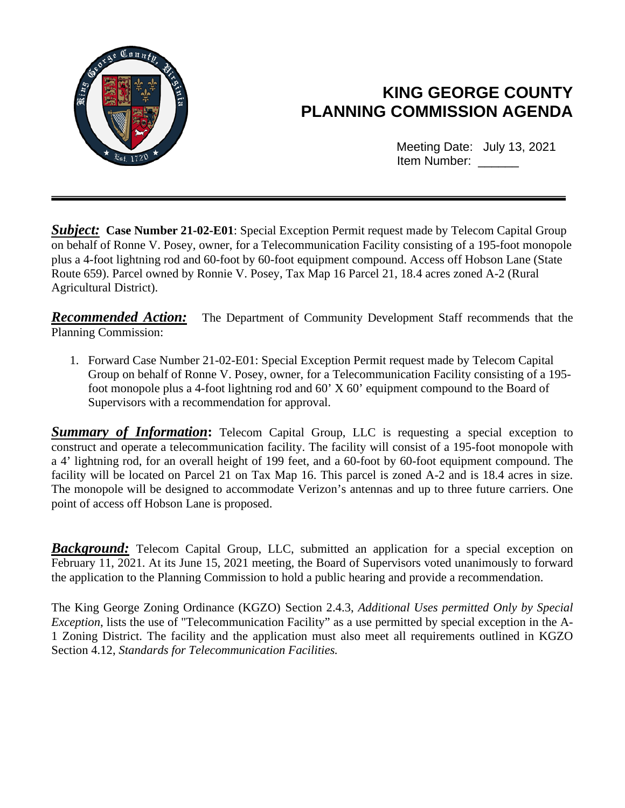

# **KING GEORGE COUNTY PLANNING COMMISSION AGENDA**

Meeting Date: July 13, 2021 Item Number: \_\_\_\_\_

**Subject:** Case Number 21-02-E01: Special Exception Permit request made by Telecom Capital Group on behalf of Ronne V. Posey, owner, for a Telecommunication Facility consisting of a 195-foot monopole plus a 4-foot lightning rod and 60-foot by 60-foot equipment compound. Access off Hobson Lane (State Route 659). Parcel owned by Ronnie V. Posey, Tax Map 16 Parcel 21, 18.4 acres zoned A-2 (Rural Agricultural District).

*Recommended Action:* The Department of Community Development Staff recommends that the Planning Commission:

1. Forward Case Number 21-02-E01: Special Exception Permit request made by Telecom Capital Group on behalf of Ronne V. Posey, owner, for a Telecommunication Facility consisting of a 195 foot monopole plus a 4-foot lightning rod and 60' X 60' equipment compound to the Board of Supervisors with a recommendation for approval.

**Summary of Information:** Telecom Capital Group, LLC is requesting a special exception to construct and operate a telecommunication facility. The facility will consist of a 195-foot monopole with a 4' lightning rod, for an overall height of 199 feet, and a 60-foot by 60-foot equipment compound. The facility will be located on Parcel 21 on Tax Map 16. This parcel is zoned A-2 and is 18.4 acres in size. The monopole will be designed to accommodate Verizon's antennas and up to three future carriers. One point of access off Hobson Lane is proposed.

*Background:* Telecom Capital Group, LLC, submitted an application for a special exception on February 11, 2021. At its June 15, 2021 meeting, the Board of Supervisors voted unanimously to forward the application to the Planning Commission to hold a public hearing and provide a recommendation.

The King George Zoning Ordinance (KGZO) Section 2.4.3, *Additional Uses permitted Only by Special Exception*, lists the use of "Telecommunication Facility" as a use permitted by special exception in the A-1 Zoning District. The facility and the application must also meet all requirements outlined in KGZO Section 4.12, *Standards for Telecommunication Facilities.*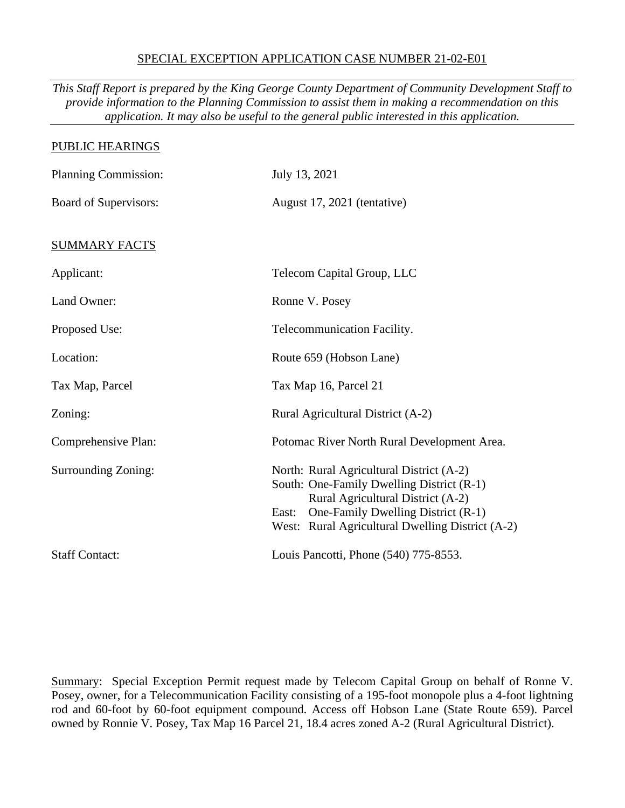#### SPECIAL EXCEPTION APPLICATION CASE NUMBER 21-02-E01

*This Staff Report is prepared by the King George County Department of Community Development Staff to provide information to the Planning Commission to assist them in making a recommendation on this application. It may also be useful to the general public interested in this application.*

| PUBLIC HEARINGS            |                                                                                                                                                                                                                               |
|----------------------------|-------------------------------------------------------------------------------------------------------------------------------------------------------------------------------------------------------------------------------|
| Planning Commission:       | July 13, 2021                                                                                                                                                                                                                 |
| Board of Supervisors:      | August 17, 2021 (tentative)                                                                                                                                                                                                   |
| <b>SUMMARY FACTS</b>       |                                                                                                                                                                                                                               |
| Applicant:                 | Telecom Capital Group, LLC                                                                                                                                                                                                    |
| Land Owner:                | Ronne V. Posey                                                                                                                                                                                                                |
| Proposed Use:              | Telecommunication Facility.                                                                                                                                                                                                   |
| Location:                  | Route 659 (Hobson Lane)                                                                                                                                                                                                       |
| Tax Map, Parcel            | Tax Map 16, Parcel 21                                                                                                                                                                                                         |
| Zoning:                    | Rural Agricultural District (A-2)                                                                                                                                                                                             |
| Comprehensive Plan:        | Potomac River North Rural Development Area.                                                                                                                                                                                   |
| <b>Surrounding Zoning:</b> | North: Rural Agricultural District (A-2)<br>South: One-Family Dwelling District (R-1)<br>Rural Agricultural District (A-2)<br>One-Family Dwelling District (R-1)<br>East:<br>West: Rural Agricultural Dwelling District (A-2) |
| <b>Staff Contact:</b>      | Louis Pancotti, Phone (540) 775-8553.                                                                                                                                                                                         |

Summary: Special Exception Permit request made by Telecom Capital Group on behalf of Ronne V. Posey, owner, for a Telecommunication Facility consisting of a 195-foot monopole plus a 4-foot lightning rod and 60-foot by 60-foot equipment compound. Access off Hobson Lane (State Route 659). Parcel owned by Ronnie V. Posey, Tax Map 16 Parcel 21, 18.4 acres zoned A-2 (Rural Agricultural District).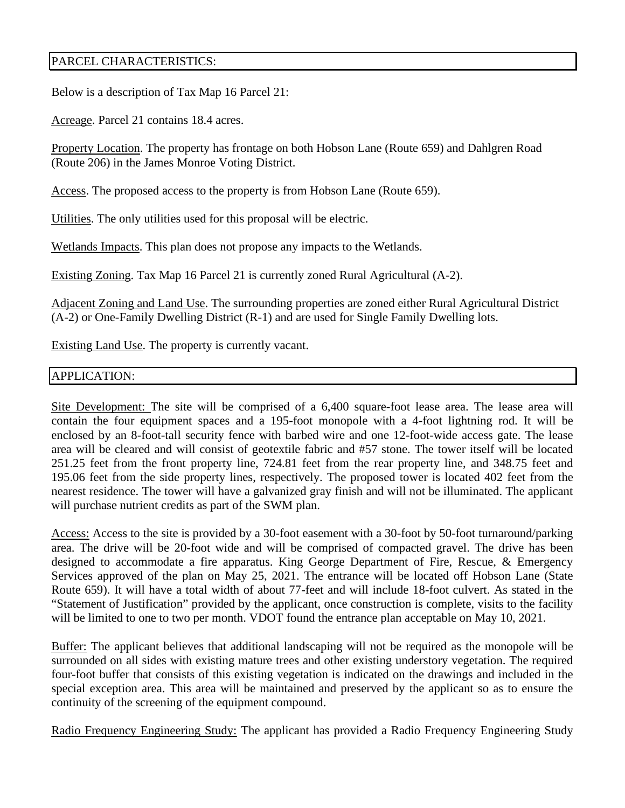### PARCEL CHARACTERISTICS:

Below is a description of Tax Map 16 Parcel 21:

Acreage. Parcel 21 contains 18.4 acres.

Property Location. The property has frontage on both Hobson Lane (Route 659) and Dahlgren Road (Route 206) in the James Monroe Voting District.

Access. The proposed access to the property is from Hobson Lane (Route 659).

Utilities. The only utilities used for this proposal will be electric.

Wetlands Impacts. This plan does not propose any impacts to the Wetlands.

Existing Zoning. Tax Map 16 Parcel 21 is currently zoned Rural Agricultural (A-2).

Adjacent Zoning and Land Use. The surrounding properties are zoned either Rural Agricultural District (A-2) or One-Family Dwelling District (R-1) and are used for Single Family Dwelling lots.

Existing Land Use. The property is currently vacant.

### APPLICATION:

Site Development: The site will be comprised of a 6,400 square-foot lease area. The lease area will contain the four equipment spaces and a 195-foot monopole with a 4-foot lightning rod. It will be enclosed by an 8-foot-tall security fence with barbed wire and one 12-foot-wide access gate. The lease area will be cleared and will consist of geotextile fabric and #57 stone. The tower itself will be located 251.25 feet from the front property line, 724.81 feet from the rear property line, and 348.75 feet and 195.06 feet from the side property lines, respectively. The proposed tower is located 402 feet from the nearest residence. The tower will have a galvanized gray finish and will not be illuminated. The applicant will purchase nutrient credits as part of the SWM plan.

Access: Access to the site is provided by a 30-foot easement with a 30-foot by 50-foot turnaround/parking area. The drive will be 20-foot wide and will be comprised of compacted gravel. The drive has been designed to accommodate a fire apparatus. King George Department of Fire, Rescue, & Emergency Services approved of the plan on May 25, 2021. The entrance will be located off Hobson Lane (State Route 659). It will have a total width of about 77-feet and will include 18-foot culvert. As stated in the "Statement of Justification" provided by the applicant, once construction is complete, visits to the facility will be limited to one to two per month. VDOT found the entrance plan acceptable on May 10, 2021.

Buffer: The applicant believes that additional landscaping will not be required as the monopole will be surrounded on all sides with existing mature trees and other existing understory vegetation. The required four-foot buffer that consists of this existing vegetation is indicated on the drawings and included in the special exception area. This area will be maintained and preserved by the applicant so as to ensure the continuity of the screening of the equipment compound.

Radio Frequency Engineering Study: The applicant has provided a Radio Frequency Engineering Study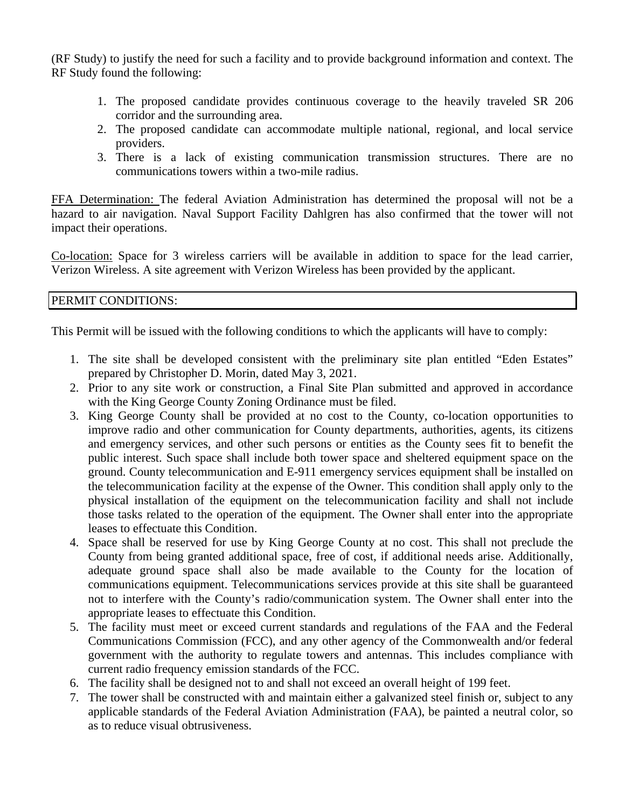(RF Study) to justify the need for such a facility and to provide background information and context. The RF Study found the following:

- 1. The proposed candidate provides continuous coverage to the heavily traveled SR 206 corridor and the surrounding area.
- 2. The proposed candidate can accommodate multiple national, regional, and local service providers.
- 3. There is a lack of existing communication transmission structures. There are no communications towers within a two-mile radius.

FFA Determination: The federal Aviation Administration has determined the proposal will not be a hazard to air navigation. Naval Support Facility Dahlgren has also confirmed that the tower will not impact their operations.

Co-location: Space for 3 wireless carriers will be available in addition to space for the lead carrier, Verizon Wireless. A site agreement with Verizon Wireless has been provided by the applicant.

### PERMIT CONDITIONS:

This Permit will be issued with the following conditions to which the applicants will have to comply:

- 1. The site shall be developed consistent with the preliminary site plan entitled "Eden Estates" prepared by Christopher D. Morin, dated May 3, 2021.
- 2. Prior to any site work or construction, a Final Site Plan submitted and approved in accordance with the King George County Zoning Ordinance must be filed.
- 3. King George County shall be provided at no cost to the County, co-location opportunities to improve radio and other communication for County departments, authorities, agents, its citizens and emergency services, and other such persons or entities as the County sees fit to benefit the public interest. Such space shall include both tower space and sheltered equipment space on the ground. County telecommunication and E-911 emergency services equipment shall be installed on the telecommunication facility at the expense of the Owner. This condition shall apply only to the physical installation of the equipment on the telecommunication facility and shall not include those tasks related to the operation of the equipment. The Owner shall enter into the appropriate leases to effectuate this Condition.
- 4. Space shall be reserved for use by King George County at no cost. This shall not preclude the County from being granted additional space, free of cost, if additional needs arise. Additionally, adequate ground space shall also be made available to the County for the location of communications equipment. Telecommunications services provide at this site shall be guaranteed not to interfere with the County's radio/communication system. The Owner shall enter into the appropriate leases to effectuate this Condition.
- 5. The facility must meet or exceed current standards and regulations of the FAA and the Federal Communications Commission (FCC), and any other agency of the Commonwealth and/or federal government with the authority to regulate towers and antennas. This includes compliance with current radio frequency emission standards of the FCC.
- 6. The facility shall be designed not to and shall not exceed an overall height of 199 feet.
- 7. The tower shall be constructed with and maintain either a galvanized steel finish or, subject to any applicable standards of the Federal Aviation Administration (FAA), be painted a neutral color, so as to reduce visual obtrusiveness.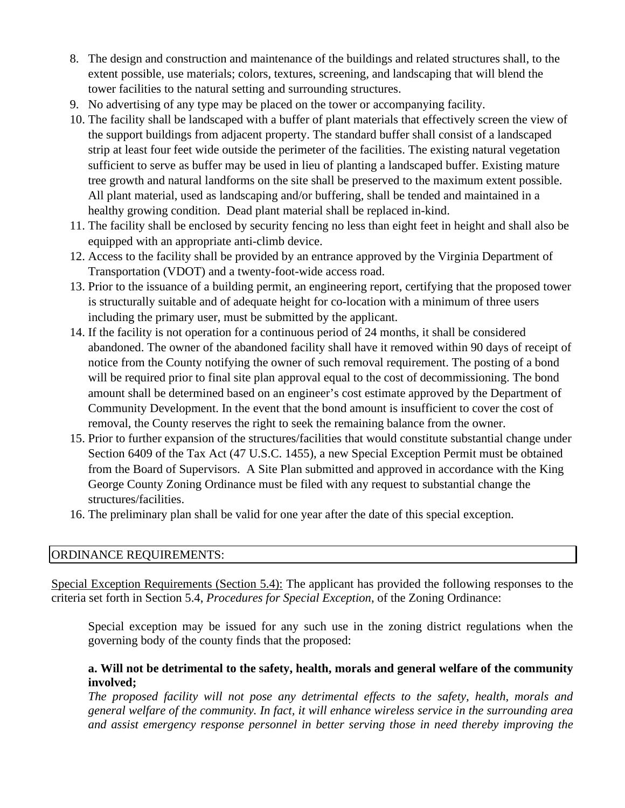- 8. The design and construction and maintenance of the buildings and related structures shall, to the extent possible, use materials; colors, textures, screening, and landscaping that will blend the tower facilities to the natural setting and surrounding structures.
- 9. No advertising of any type may be placed on the tower or accompanying facility.
- 10. The facility shall be landscaped with a buffer of plant materials that effectively screen the view of the support buildings from adjacent property. The standard buffer shall consist of a landscaped strip at least four feet wide outside the perimeter of the facilities. The existing natural vegetation sufficient to serve as buffer may be used in lieu of planting a landscaped buffer. Existing mature tree growth and natural landforms on the site shall be preserved to the maximum extent possible. All plant material, used as landscaping and/or buffering, shall be tended and maintained in a healthy growing condition. Dead plant material shall be replaced in-kind.
- 11. The facility shall be enclosed by security fencing no less than eight feet in height and shall also be equipped with an appropriate anti-climb device.
- 12. Access to the facility shall be provided by an entrance approved by the Virginia Department of Transportation (VDOT) and a twenty-foot-wide access road.
- 13. Prior to the issuance of a building permit, an engineering report, certifying that the proposed tower is structurally suitable and of adequate height for co-location with a minimum of three users including the primary user, must be submitted by the applicant.
- 14. If the facility is not operation for a continuous period of 24 months, it shall be considered abandoned. The owner of the abandoned facility shall have it removed within 90 days of receipt of notice from the County notifying the owner of such removal requirement. The posting of a bond will be required prior to final site plan approval equal to the cost of decommissioning. The bond amount shall be determined based on an engineer's cost estimate approved by the Department of Community Development. In the event that the bond amount is insufficient to cover the cost of removal, the County reserves the right to seek the remaining balance from the owner.
- 15. Prior to further expansion of the structures/facilities that would constitute substantial change under Section 6409 of the Tax Act (47 U.S.C. 1455), a new Special Exception Permit must be obtained from the Board of Supervisors. A Site Plan submitted and approved in accordance with the King George County Zoning Ordinance must be filed with any request to substantial change the structures/facilities.
- 16. The preliminary plan shall be valid for one year after the date of this special exception.

### ORDINANCE REQUIREMENTS:

Special Exception Requirements (Section 5.4): The applicant has provided the following responses to the criteria set forth in Section 5.4, *Procedures for Special Exception*, of the Zoning Ordinance:

Special exception may be issued for any such use in the zoning district regulations when the governing body of the county finds that the proposed:

### **a. Will not be detrimental to the safety, health, morals and general welfare of the community involved;**

*The proposed facility will not pose any detrimental effects to the safety, health, morals and general welfare of the community. In fact, it will enhance wireless service in the surrounding area and assist emergency response personnel in better serving those in need thereby improving the*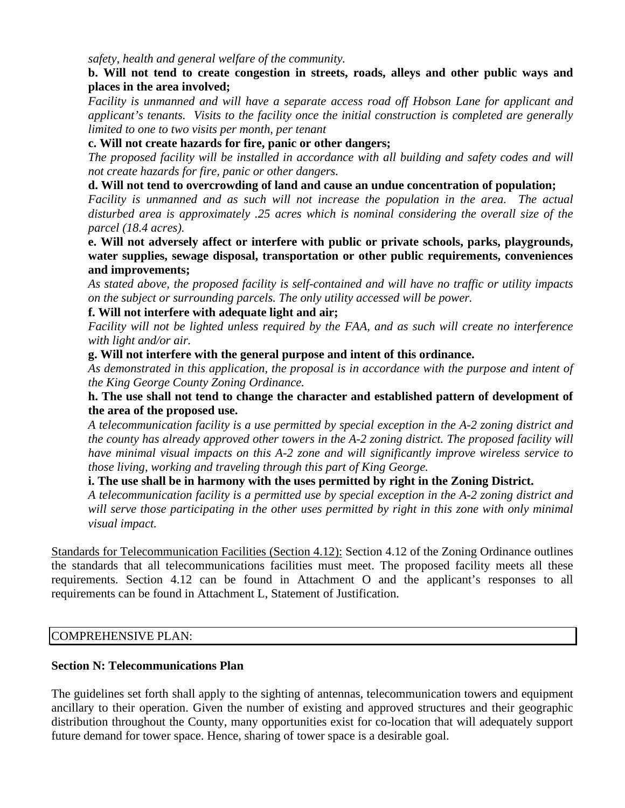*safety, health and general welfare of the community.* 

### **b. Will not tend to create congestion in streets, roads, alleys and other public ways and places in the area involved;**

*Facility is unmanned and will have a separate access road off Hobson Lane for applicant and applicant's tenants. Visits to the facility once the initial construction is completed are generally limited to one to two visits per month, per tenant*

## **c. Will not create hazards for fire, panic or other dangers;**

*The proposed facility will be installed in accordance with all building and safety codes and will not create hazards for fire, panic or other dangers.*

## **d. Will not tend to overcrowding of land and cause an undue concentration of population;**

*Facility is unmanned and as such will not increase the population in the area. The actual disturbed area is approximately .25 acres which is nominal considering the overall size of the parcel (18.4 acres).*

#### **e. Will not adversely affect or interfere with public or private schools, parks, playgrounds, water supplies, sewage disposal, transportation or other public requirements, conveniences and improvements;**

*As stated above, the proposed facility is self-contained and will have no traffic or utility impacts on the subject or surrounding parcels. The only utility accessed will be power.*

## **f. Will not interfere with adequate light and air;**

*Facility will not be lighted unless required by the FAA, and as such will create no interference with light and/or air.*

### **g. Will not interfere with the general purpose and intent of this ordinance.**

*As demonstrated in this application, the proposal is in accordance with the purpose and intent of the King George County Zoning Ordinance.*

#### **h. The use shall not tend to change the character and established pattern of development of the area of the proposed use.**

*A telecommunication facility is a use permitted by special exception in the A-2 zoning district and the county has already approved other towers in the A-2 zoning district. The proposed facility will have minimal visual impacts on this A-2 zone and will significantly improve wireless service to those living, working and traveling through this part of King George.*

### **i. The use shall be in harmony with the uses permitted by right in the Zoning District.**

*A telecommunication facility is a permitted use by special exception in the A-2 zoning district and will serve those participating in the other uses permitted by right in this zone with only minimal visual impact.*

Standards for Telecommunication Facilities (Section 4.12): Section 4.12 of the Zoning Ordinance outlines the standards that all telecommunications facilities must meet. The proposed facility meets all these requirements. Section 4.12 can be found in Attachment O and the applicant's responses to all requirements can be found in Attachment L, Statement of Justification.

### COMPREHENSIVE PLAN:

### **Section N: Telecommunications Plan**

The guidelines set forth shall apply to the sighting of antennas, telecommunication towers and equipment ancillary to their operation. Given the number of existing and approved structures and their geographic distribution throughout the County, many opportunities exist for co-location that will adequately support future demand for tower space. Hence, sharing of tower space is a desirable goal.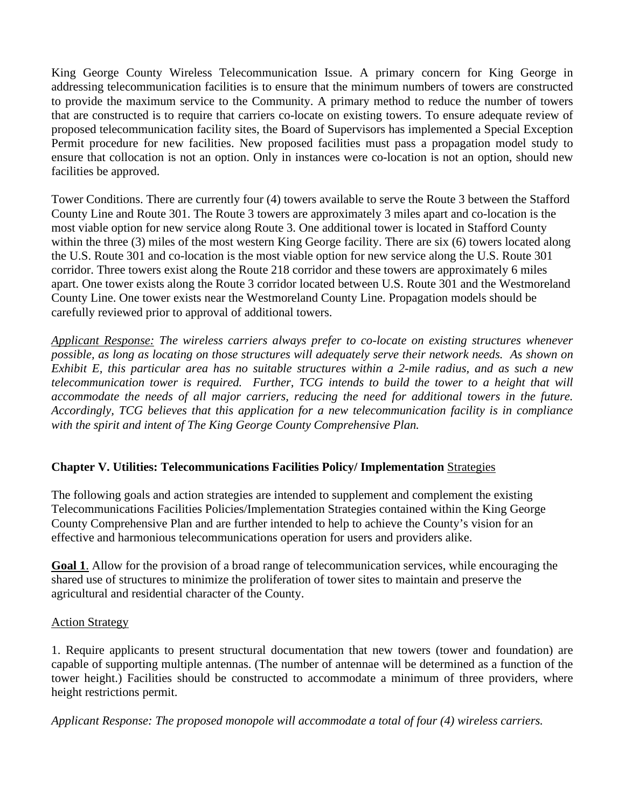King George County Wireless Telecommunication Issue. A primary concern for King George in addressing telecommunication facilities is to ensure that the minimum numbers of towers are constructed to provide the maximum service to the Community. A primary method to reduce the number of towers that are constructed is to require that carriers co-locate on existing towers. To ensure adequate review of proposed telecommunication facility sites, the Board of Supervisors has implemented a Special Exception Permit procedure for new facilities. New proposed facilities must pass a propagation model study to ensure that collocation is not an option. Only in instances were co-location is not an option, should new facilities be approved.

Tower Conditions. There are currently four (4) towers available to serve the Route 3 between the Stafford County Line and Route 301. The Route 3 towers are approximately 3 miles apart and co-location is the most viable option for new service along Route 3. One additional tower is located in Stafford County within the three (3) miles of the most western King George facility. There are six (6) towers located along the U.S. Route 301 and co-location is the most viable option for new service along the U.S. Route 301 corridor. Three towers exist along the Route 218 corridor and these towers are approximately 6 miles apart. One tower exists along the Route 3 corridor located between U.S. Route 301 and the Westmoreland County Line. One tower exists near the Westmoreland County Line. Propagation models should be carefully reviewed prior to approval of additional towers.

*Applicant Response: The wireless carriers always prefer to co-locate on existing structures whenever possible, as long as locating on those structures will adequately serve their network needs. As shown on Exhibit E, this particular area has no suitable structures within a 2-mile radius, and as such a new telecommunication tower is required. Further, TCG intends to build the tower to a height that will accommodate the needs of all major carriers, reducing the need for additional towers in the future. Accordingly, TCG believes that this application for a new telecommunication facility is in compliance with the spirit and intent of The King George County Comprehensive Plan.*

### **Chapter V. Utilities: Telecommunications Facilities Policy/ Implementation** Strategies

The following goals and action strategies are intended to supplement and complement the existing Telecommunications Facilities Policies/Implementation Strategies contained within the King George County Comprehensive Plan and are further intended to help to achieve the County's vision for an effective and harmonious telecommunications operation for users and providers alike.

**Goal 1**. Allow for the provision of a broad range of telecommunication services, while encouraging the shared use of structures to minimize the proliferation of tower sites to maintain and preserve the agricultural and residential character of the County.

### Action Strategy

1. Require applicants to present structural documentation that new towers (tower and foundation) are capable of supporting multiple antennas. (The number of antennae will be determined as a function of the tower height.) Facilities should be constructed to accommodate a minimum of three providers, where height restrictions permit.

*Applicant Response: The proposed monopole will accommodate a total of four (4) wireless carriers.*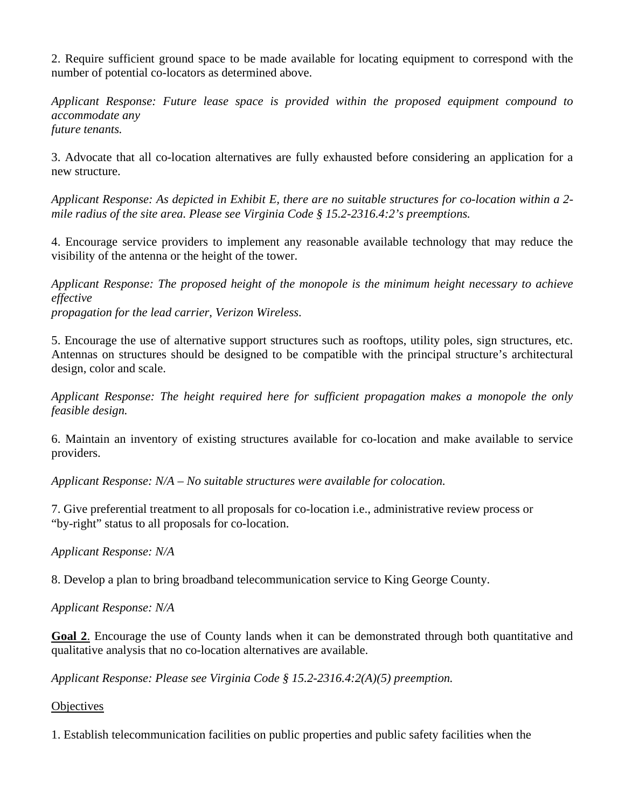2. Require sufficient ground space to be made available for locating equipment to correspond with the number of potential co-locators as determined above.

*Applicant Response: Future lease space is provided within the proposed equipment compound to accommodate any future tenants.* 

3. Advocate that all co-location alternatives are fully exhausted before considering an application for a new structure.

*Applicant Response: As depicted in Exhibit E, there are no suitable structures for co-location within a 2 mile radius of the site area. Please see Virginia Code § 15.2-2316.4:2's preemptions.*

4. Encourage service providers to implement any reasonable available technology that may reduce the visibility of the antenna or the height of the tower.

*Applicant Response: The proposed height of the monopole is the minimum height necessary to achieve effective propagation for the lead carrier, Verizon Wireless.* 

5. Encourage the use of alternative support structures such as rooftops, utility poles, sign structures, etc. Antennas on structures should be designed to be compatible with the principal structure's architectural design, color and scale.

*Applicant Response: The height required here for sufficient propagation makes a monopole the only feasible design.* 

6. Maintain an inventory of existing structures available for co-location and make available to service providers.

*Applicant Response: N/A – No suitable structures were available for colocation.* 

7. Give preferential treatment to all proposals for co-location i.e., administrative review process or "by-right" status to all proposals for co-location.

*Applicant Response: N/A* 

8. Develop a plan to bring broadband telecommunication service to King George County.

*Applicant Response: N/A*

Goal 2. Encourage the use of County lands when it can be demonstrated through both quantitative and qualitative analysis that no co-location alternatives are available.

*Applicant Response: Please see Virginia Code § 15.2-2316.4:2(A)(5) preemption.*

**Objectives** 

1. Establish telecommunication facilities on public properties and public safety facilities when the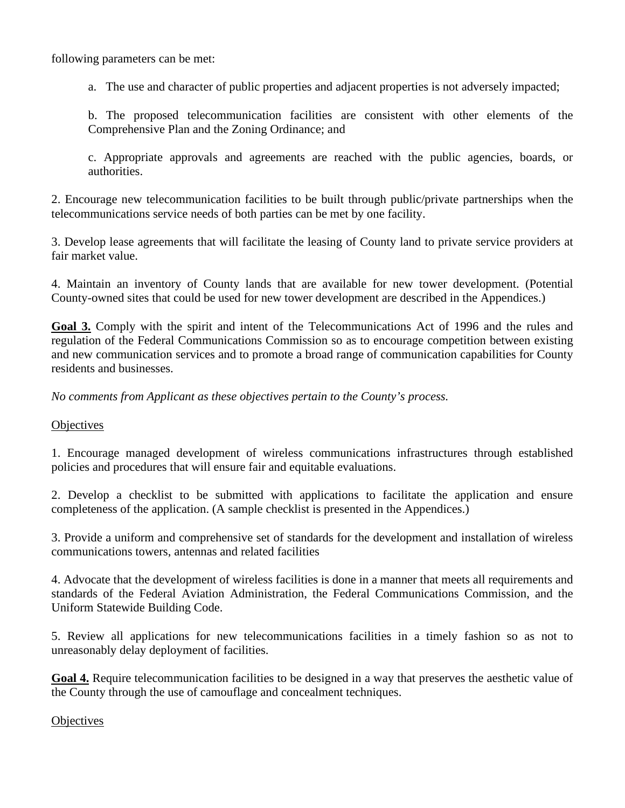following parameters can be met:

a. The use and character of public properties and adjacent properties is not adversely impacted;

b. The proposed telecommunication facilities are consistent with other elements of the Comprehensive Plan and the Zoning Ordinance; and

c. Appropriate approvals and agreements are reached with the public agencies, boards, or authorities.

2. Encourage new telecommunication facilities to be built through public/private partnerships when the telecommunications service needs of both parties can be met by one facility.

3. Develop lease agreements that will facilitate the leasing of County land to private service providers at fair market value.

4. Maintain an inventory of County lands that are available for new tower development. (Potential County-owned sites that could be used for new tower development are described in the Appendices.)

**Goal 3.** Comply with the spirit and intent of the Telecommunications Act of 1996 and the rules and regulation of the Federal Communications Commission so as to encourage competition between existing and new communication services and to promote a broad range of communication capabilities for County residents and businesses.

*No comments from Applicant as these objectives pertain to the County's process.* 

**Objectives** 

1. Encourage managed development of wireless communications infrastructures through established policies and procedures that will ensure fair and equitable evaluations.

2. Develop a checklist to be submitted with applications to facilitate the application and ensure completeness of the application. (A sample checklist is presented in the Appendices.)

3. Provide a uniform and comprehensive set of standards for the development and installation of wireless communications towers, antennas and related facilities

4. Advocate that the development of wireless facilities is done in a manner that meets all requirements and standards of the Federal Aviation Administration, the Federal Communications Commission, and the Uniform Statewide Building Code.

5. Review all applications for new telecommunications facilities in a timely fashion so as not to unreasonably delay deployment of facilities.

**Goal 4.** Require telecommunication facilities to be designed in a way that preserves the aesthetic value of the County through the use of camouflage and concealment techniques.

### **Objectives**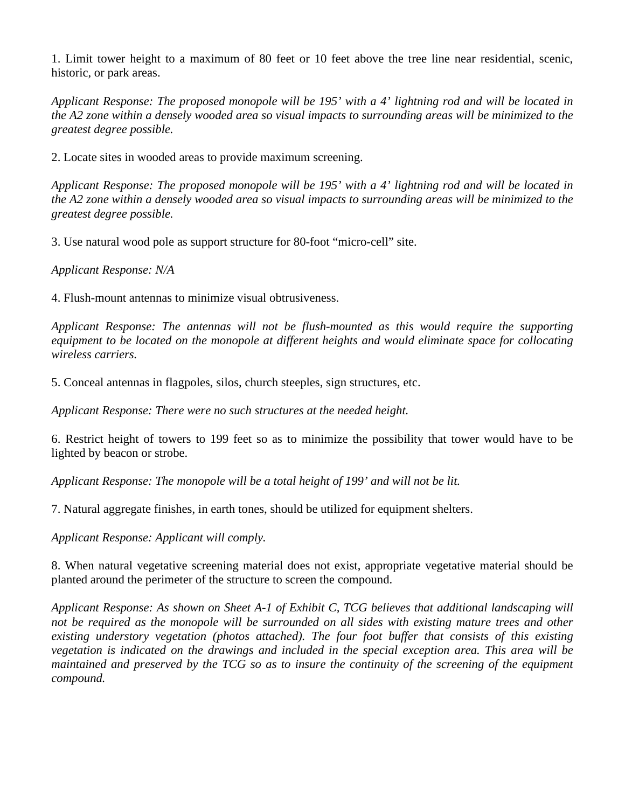1. Limit tower height to a maximum of 80 feet or 10 feet above the tree line near residential, scenic, historic, or park areas.

*Applicant Response: The proposed monopole will be 195' with a 4' lightning rod and will be located in the A2 zone within a densely wooded area so visual impacts to surrounding areas will be minimized to the greatest degree possible.*

2. Locate sites in wooded areas to provide maximum screening.

*Applicant Response: The proposed monopole will be 195' with a 4' lightning rod and will be located in the A2 zone within a densely wooded area so visual impacts to surrounding areas will be minimized to the greatest degree possible.*

3. Use natural wood pole as support structure for 80-foot "micro-cell" site.

*Applicant Response: N/A*

4. Flush-mount antennas to minimize visual obtrusiveness.

*Applicant Response: The antennas will not be flush-mounted as this would require the supporting equipment to be located on the monopole at different heights and would eliminate space for collocating wireless carriers.*

5. Conceal antennas in flagpoles, silos, church steeples, sign structures, etc.

*Applicant Response: There were no such structures at the needed height.*

6. Restrict height of towers to 199 feet so as to minimize the possibility that tower would have to be lighted by beacon or strobe.

*Applicant Response: The monopole will be a total height of 199' and will not be lit.*

7. Natural aggregate finishes, in earth tones, should be utilized for equipment shelters.

*Applicant Response: Applicant will comply.*

8. When natural vegetative screening material does not exist, appropriate vegetative material should be planted around the perimeter of the structure to screen the compound.

*Applicant Response: As shown on Sheet A-1 of Exhibit C, TCG believes that additional landscaping will not be required as the monopole will be surrounded on all sides with existing mature trees and other existing understory vegetation (photos attached). The four foot buffer that consists of this existing vegetation is indicated on the drawings and included in the special exception area. This area will be maintained and preserved by the TCG so as to insure the continuity of the screening of the equipment compound.*